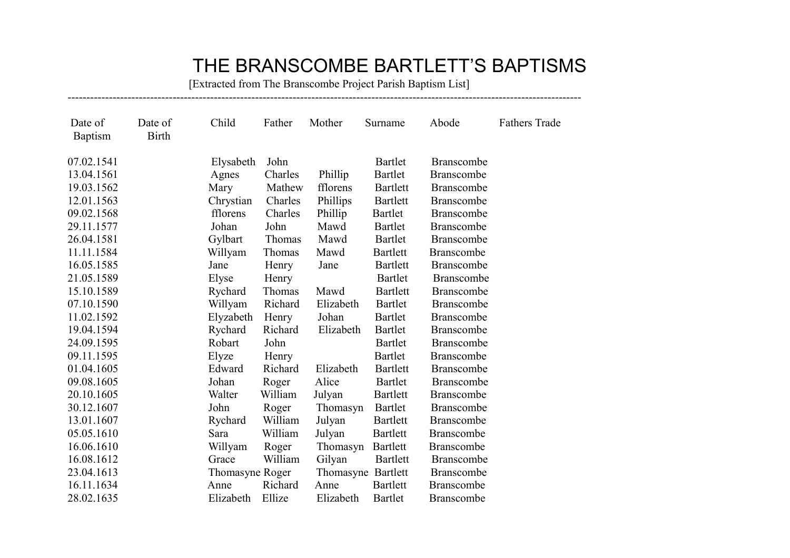## THE BRANSCOMBE BARTLETT'S BAPTISMS

 [Extracted from The Branscombe Project Parish Baptism List] -----------------------------------------------------------------------------------------------------------------------------------------

| Date of<br><b>Baptism</b> | Date of<br><b>Birth</b> | Child           | Father  | Mother             | Surname         | Abode             | <b>Fathers Trade</b> |
|---------------------------|-------------------------|-----------------|---------|--------------------|-----------------|-------------------|----------------------|
| 07.02.1541                |                         | Elysabeth       | John    |                    | <b>Bartlet</b>  | <b>Branscombe</b> |                      |
| 13.04.1561                |                         | Agnes           | Charles | Phillip            | <b>Bartlet</b>  | <b>Branscombe</b> |                      |
| 19.03.1562                |                         | Mary            | Mathew  | fflorens           | <b>Bartlett</b> | <b>Branscombe</b> |                      |
| 12.01.1563                |                         | Chrystian       | Charles | Phillips           | <b>Bartlett</b> | <b>Branscombe</b> |                      |
| 09.02.1568                |                         | fflorens        | Charles | Phillip            | <b>Bartlet</b>  | <b>Branscombe</b> |                      |
| 29.11.1577                |                         | Johan           | John    | Mawd               | <b>Bartlet</b>  | <b>Branscombe</b> |                      |
| 26.04.1581                |                         | Gylbart         | Thomas  | Mawd               | Bartlet         | Branscombe        |                      |
| 11.11.1584                |                         | Willyam         | Thomas  | Mawd               | <b>Bartlett</b> | Branscombe        |                      |
| 16.05.1585                |                         | Jane            | Henry   | Jane               | <b>Bartlett</b> | <b>Branscombe</b> |                      |
| 21.05.1589                |                         | Elyse           | Henry   |                    | <b>Bartlet</b>  | <b>Branscombe</b> |                      |
| 15.10.1589                |                         | Rychard         | Thomas  | Mawd               | <b>Bartlett</b> | <b>Branscombe</b> |                      |
| 07.10.1590                |                         | Willyam         | Richard | Elizabeth          | Bartlet         | <b>Branscombe</b> |                      |
| 11.02.1592                |                         | Elyzabeth       | Henry   | Johan              | <b>Bartlet</b>  | <b>Branscombe</b> |                      |
| 19.04.1594                |                         | Rychard         | Richard | Elizabeth          | <b>Bartlet</b>  | <b>Branscombe</b> |                      |
| 24.09.1595                |                         | Robart          | John    |                    | <b>Bartlet</b>  | <b>Branscombe</b> |                      |
| 09.11.1595                |                         | Elyze           | Henry   |                    | Bartlet         | Branscombe        |                      |
| 01.04.1605                |                         | Edward          | Richard | Elizabeth          | <b>Bartlett</b> | <b>Branscombe</b> |                      |
| 09.08.1605                |                         | Johan           | Roger   | Alice              | Bartlet         | <b>Branscombe</b> |                      |
| 20.10.1605                |                         | Walter          | William | Julyan             | <b>Bartlett</b> | <b>Branscombe</b> |                      |
| 30.12.1607                |                         | John            | Roger   | Thomasyn           | Bartlet         | Branscombe        |                      |
| 13.01.1607                |                         | Rychard         | William | Julyan             | <b>Bartlett</b> | <b>Branscombe</b> |                      |
| 05.05.1610                |                         | Sara            | William | Julyan             | <b>Bartlett</b> | Branscombe        |                      |
| 16.06.1610                |                         | Willyam         | Roger   | Thomasyn           | <b>Bartlett</b> | Branscombe        |                      |
| 16.08.1612                |                         | Grace           | William | Gilyan             | <b>Bartlett</b> | <b>Branscombe</b> |                      |
| 23.04.1613                |                         | Thomasyne Roger |         | Thomasyne Bartlett |                 | <b>Branscombe</b> |                      |
| 16.11.1634                |                         | Anne            | Richard | Anne               | <b>Bartlett</b> | <b>Branscombe</b> |                      |
| 28.02.1635                |                         | Elizabeth       | Ellize  | Elizabeth          | <b>Bartlet</b>  | <b>Branscombe</b> |                      |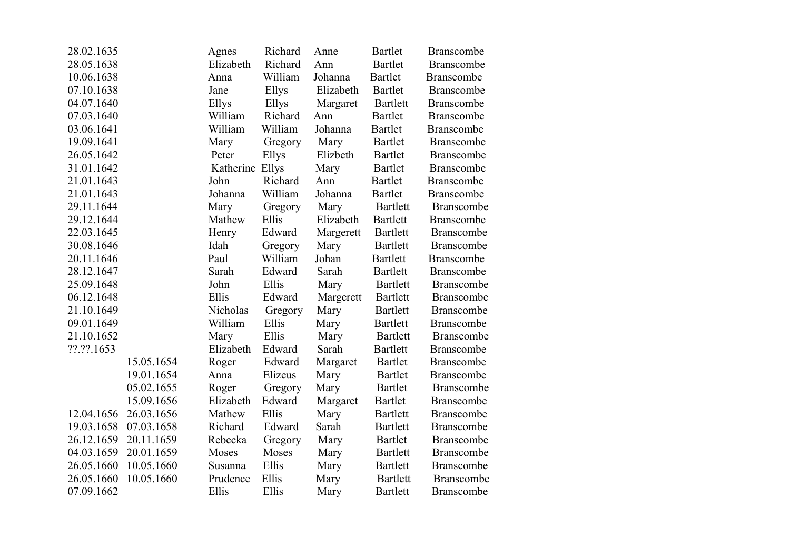| 28.02.1635 |            | Agnes           | Richard | Anne      | <b>Bartlet</b>  | <b>Branscombe</b> |
|------------|------------|-----------------|---------|-----------|-----------------|-------------------|
| 28.05.1638 |            | Elizabeth       | Richard | Ann       | <b>Bartlet</b>  | <b>Branscombe</b> |
| 10.06.1638 |            | Anna            | William | Johanna   | <b>Bartlet</b>  | <b>Branscombe</b> |
| 07.10.1638 |            | Jane            | Ellys   | Elizabeth | <b>Bartlet</b>  | <b>Branscombe</b> |
| 04.07.1640 |            | Ellys           | Ellys   | Margaret  | <b>Bartlett</b> | <b>Branscombe</b> |
| 07.03.1640 |            | William         | Richard | Ann       | <b>Bartlet</b>  | Branscombe        |
| 03.06.1641 |            | William         | William | Johanna   | <b>Bartlet</b>  | <b>Branscombe</b> |
| 19.09.1641 |            | Mary            | Gregory | Mary      | <b>Bartlet</b>  | <b>Branscombe</b> |
| 26.05.1642 |            | Peter           | Ellys   | Elizbeth  | Bartlet         | Branscombe        |
| 31.01.1642 |            | Katherine Ellys |         | Mary      | <b>Bartlet</b>  | <b>Branscombe</b> |
| 21.01.1643 |            | John            | Richard | Ann       | <b>Bartlet</b>  | <b>Branscombe</b> |
| 21.01.1643 |            | Johanna         | William | Johanna   | <b>Bartlet</b>  | <b>Branscombe</b> |
| 29.11.1644 |            | Mary            | Gregory | Mary      | <b>Bartlett</b> | <b>Branscombe</b> |
| 29.12.1644 |            | Mathew          | Ellis   | Elizabeth | <b>Bartlett</b> | Branscombe        |
| 22.03.1645 |            | Henry           | Edward  | Margerett | <b>Bartlett</b> | Branscombe        |
| 30.08.1646 |            | Idah            | Gregory | Mary      | <b>Bartlett</b> | <b>Branscombe</b> |
| 20.11.1646 |            | Paul            | William | Johan     | <b>Bartlett</b> | <b>Branscombe</b> |
| 28.12.1647 |            | Sarah           | Edward  | Sarah     | <b>Bartlett</b> | <b>Branscombe</b> |
| 25.09.1648 |            | John            | Ellis   | Mary      | <b>Bartlett</b> | <b>Branscombe</b> |
| 06.12.1648 |            | Ellis           | Edward  | Margerett | <b>Bartlett</b> | <b>Branscombe</b> |
| 21.10.1649 |            | Nicholas        | Gregory | Mary      | <b>Bartlett</b> | Branscombe        |
| 09.01.1649 |            | William         | Ellis   | Mary      | <b>Bartlett</b> | <b>Branscombe</b> |
| 21.10.1652 |            | Mary            | Ellis   | Mary      | <b>Bartlett</b> | <b>Branscombe</b> |
| ??.??.1653 |            | Elizabeth       | Edward  | Sarah     | <b>Bartlett</b> | <b>Branscombe</b> |
|            | 15.05.1654 | Roger           | Edward  | Margaret  | <b>Bartlet</b>  | <b>Branscombe</b> |
|            | 19.01.1654 | Anna            | Elizeus | Mary      | <b>Bartlet</b>  | <b>Branscombe</b> |
|            | 05.02.1655 | Roger           | Gregory | Mary      | <b>Bartlet</b>  | <b>Branscombe</b> |
|            | 15.09.1656 | Elizabeth       | Edward  | Margaret  | <b>Bartlet</b>  | <b>Branscombe</b> |
| 12.04.1656 | 26.03.1656 | Mathew          | Ellis   | Mary      | <b>Bartlett</b> | <b>Branscombe</b> |
| 19.03.1658 | 07.03.1658 | Richard         | Edward  | Sarah     | <b>Bartlett</b> | <b>Branscombe</b> |
| 26.12.1659 | 20.11.1659 | Rebecka         | Gregory | Mary      | <b>Bartlet</b>  | <b>Branscombe</b> |
| 04.03.1659 | 20.01.1659 | Moses           | Moses   | Mary      | <b>Bartlett</b> | Branscombe        |
| 26.05.1660 | 10.05.1660 | Susanna         | Ellis   | Mary      | <b>Bartlett</b> | <b>Branscombe</b> |
| 26.05.1660 | 10.05.1660 | Prudence        | Ellis   | Mary      | <b>Bartlett</b> | <b>Branscombe</b> |
| 07.09.1662 |            | Ellis           | Ellis   | Mary      | <b>Bartlett</b> | <b>Branscombe</b> |
|            |            |                 |         |           |                 |                   |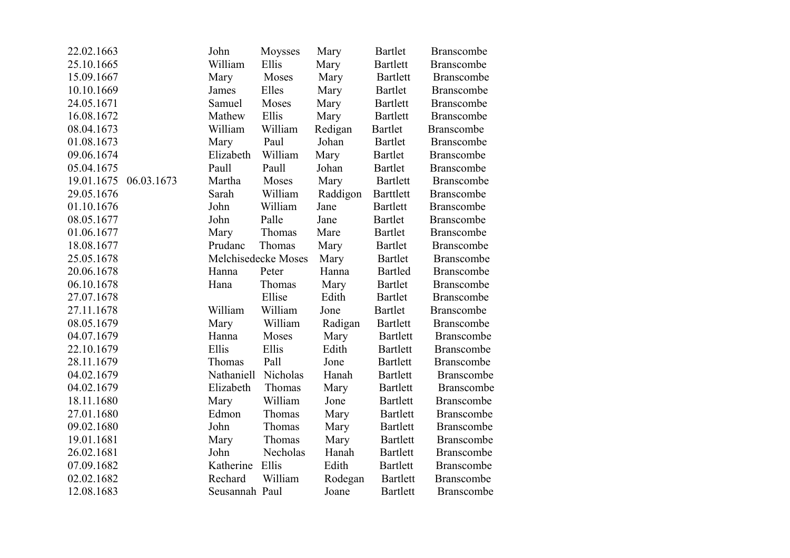| 22.02.1663 |            | John           | Moysses             | Mary     | <b>Bartlet</b>   | <b>Branscombe</b> |
|------------|------------|----------------|---------------------|----------|------------------|-------------------|
| 25.10.1665 |            | William        | Ellis               | Mary     | <b>Bartlett</b>  | <b>Branscombe</b> |
| 15.09.1667 |            | Mary           | Moses               | Mary     | <b>Bartlett</b>  | <b>Branscombe</b> |
| 10.10.1669 |            | James          | Elles               | Mary     | <b>Bartlet</b>   | Branscombe        |
| 24.05.1671 |            | Samuel         | Moses               | Mary     | <b>Bartlett</b>  | Branscombe        |
| 16.08.1672 |            | Mathew         | Ellis               | Mary     | <b>Bartlett</b>  | <b>Branscombe</b> |
| 08.04.1673 |            | William        | William             | Redigan  | <b>Bartlet</b>   | <b>Branscombe</b> |
| 01.08.1673 |            | Mary           | Paul                | Johan    | <b>Bartlet</b>   | <b>Branscombe</b> |
| 09.06.1674 |            | Elizabeth      | William             | Mary     | <b>Bartlet</b>   | <b>Branscombe</b> |
| 05.04.1675 |            | Paull          | Paull               | Johan    | <b>Bartlet</b>   | <b>Branscombe</b> |
| 19.01.1675 | 06.03.1673 | Martha         | Moses               | Mary     | <b>Bartlett</b>  | <b>Branscombe</b> |
| 29.05.1676 |            | Sarah          | William             | Raddigon | <b>Barttlett</b> | <b>Branscombe</b> |
| 01.10.1676 |            | John           | William             | Jane     | <b>Bartlett</b>  | <b>Branscombe</b> |
| 08.05.1677 |            | John           | Palle               | Jane     | <b>Bartlet</b>   | <b>Branscombe</b> |
| 01.06.1677 |            | Mary           | Thomas              | Mare     | <b>Bartlet</b>   | Branscombe        |
| 18.08.1677 |            | Prudanc        | Thomas              | Mary     | <b>Bartlet</b>   | <b>Branscombe</b> |
| 25.05.1678 |            |                | Melchisedecke Moses | Mary     | <b>Bartlet</b>   | Branscombe        |
| 20.06.1678 |            | Hanna          | Peter               | Hanna    | <b>Bartled</b>   | <b>Branscombe</b> |
| 06.10.1678 |            | Hana           | Thomas              | Mary     | <b>Bartlet</b>   | Branscombe        |
| 27.07.1678 |            |                | Ellise              | Edith    | <b>Bartlet</b>   | <b>Branscombe</b> |
| 27.11.1678 |            | William        | William             | Jone     | <b>Bartlet</b>   | <b>Branscombe</b> |
| 08.05.1679 |            | Mary           | William             | Radigan  | <b>Bartlett</b>  | Branscombe        |
| 04.07.1679 |            | Hanna          | Moses               | Mary     | <b>Bartlett</b>  | <b>Branscombe</b> |
| 22.10.1679 |            | Ellis          | Ellis               | Edith    | <b>Bartlett</b>  | <b>Branscombe</b> |
| 28.11.1679 |            | Thomas         | Pall                | Jone     | <b>Bartlett</b>  | <b>Branscombe</b> |
| 04.02.1679 |            | Nathaniell     | Nicholas            | Hanah    | <b>Bartlett</b>  | Branscombe        |
| 04.02.1679 |            | Elizabeth      | Thomas              | Mary     | <b>Bartlett</b>  | Branscombe        |
| 18.11.1680 |            | Mary           | William             | Jone     | <b>Bartlett</b>  | <b>Branscombe</b> |
| 27.01.1680 |            | Edmon          | Thomas              | Mary     | <b>Bartlett</b>  | <b>Branscombe</b> |
| 09.02.1680 |            | John           | Thomas              | Mary     | <b>Bartlett</b>  | <b>Branscombe</b> |
| 19.01.1681 |            | Mary           | Thomas              | Mary     | <b>Bartlett</b>  | Branscombe        |
| 26.02.1681 |            | John           | Necholas            | Hanah    | <b>Bartlett</b>  | <b>Branscombe</b> |
| 07.09.1682 |            | Katherine      | Ellis               | Edith    | <b>Bartlett</b>  | Branscombe        |
| 02.02.1682 |            | Rechard        | William             | Rodegan  | <b>Bartlett</b>  | <b>Branscombe</b> |
| 12.08.1683 |            | Seusannah Paul |                     | Joane    | <b>Bartlett</b>  | <b>Branscombe</b> |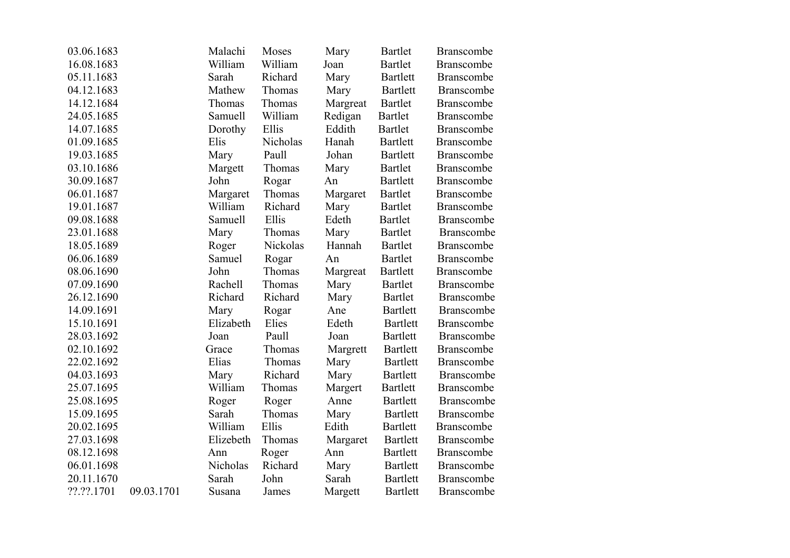| 03.06.1683 |            | Malachi   | Moses    | Mary     | <b>Bartlet</b>  | <b>Branscombe</b> |
|------------|------------|-----------|----------|----------|-----------------|-------------------|
| 16.08.1683 |            | William   | William  | Joan     | <b>Bartlet</b>  | <b>Branscombe</b> |
| 05.11.1683 |            | Sarah     | Richard  | Mary     | <b>Bartlett</b> | Branscombe        |
| 04.12.1683 |            | Mathew    | Thomas   | Mary     | <b>Bartlett</b> | <b>Branscombe</b> |
| 14.12.1684 |            | Thomas    | Thomas   | Margreat | <b>Bartlet</b>  | Branscombe        |
| 24.05.1685 |            | Samuell   | William  | Redigan  | <b>Bartlet</b>  | <b>Branscombe</b> |
| 14.07.1685 |            | Dorothy   | Ellis    | Eddith   | <b>Bartlet</b>  | <b>Branscombe</b> |
| 01.09.1685 |            | Elis      | Nicholas | Hanah    | <b>Bartlett</b> | <b>Branscombe</b> |
| 19.03.1685 |            | Mary      | Paull    | Johan    | <b>Bartlett</b> | <b>Branscombe</b> |
| 03.10.1686 |            | Margett   | Thomas   | Mary     | <b>Bartlet</b>  | <b>Branscombe</b> |
| 30.09.1687 |            | John      | Rogar    | An       | <b>Bartlett</b> | <b>Branscombe</b> |
| 06.01.1687 |            | Margaret  | Thomas   | Margaret | <b>Bartlet</b>  | <b>Branscombe</b> |
| 19.01.1687 |            | William   | Richard  | Mary     | <b>Bartlet</b>  | <b>Branscombe</b> |
| 09.08.1688 |            | Samuell   | Ellis    | Edeth    | <b>Bartlet</b>  | <b>Branscombe</b> |
| 23.01.1688 |            | Mary      | Thomas   | Mary     | <b>Bartlet</b>  | <b>Branscombe</b> |
| 18.05.1689 |            | Roger     | Nickolas | Hannah   | <b>Bartlet</b>  | <b>Branscombe</b> |
| 06.06.1689 |            | Samuel    | Rogar    | An       | <b>Bartlet</b>  | <b>Branscombe</b> |
| 08.06.1690 |            | John      | Thomas   | Margreat | <b>Bartlett</b> | <b>Branscombe</b> |
| 07.09.1690 |            | Rachell   | Thomas   | Mary     | <b>Bartlet</b>  | <b>Branscombe</b> |
| 26.12.1690 |            | Richard   | Richard  | Mary     | <b>Bartlet</b>  | <b>Branscombe</b> |
| 14.09.1691 |            | Mary      | Rogar    | Ane      | <b>Bartlett</b> | <b>Branscombe</b> |
| 15.10.1691 |            | Elizabeth | Elies    | Edeth    | <b>Bartlett</b> | <b>Branscombe</b> |
| 28.03.1692 |            | Joan      | Paull    | Joan     | <b>Bartlett</b> | <b>Branscombe</b> |
| 02.10.1692 |            | Grace     | Thomas   | Margrett | <b>Bartlett</b> | <b>Branscombe</b> |
| 22.02.1692 |            | Elias     | Thomas   | Mary     | <b>Bartlett</b> | <b>Branscombe</b> |
| 04.03.1693 |            | Mary      | Richard  | Mary     | <b>Bartlett</b> | <b>Branscombe</b> |
| 25.07.1695 |            | William   | Thomas   | Margert  | <b>Bartlett</b> | <b>Branscombe</b> |
| 25.08.1695 |            | Roger     | Roger    | Anne     | <b>Bartlett</b> | <b>Branscombe</b> |
| 15.09.1695 |            | Sarah     | Thomas   | Mary     | <b>Bartlett</b> | <b>Branscombe</b> |
| 20.02.1695 |            | William   | Ellis    | Edith    | <b>Bartlett</b> | <b>Branscombe</b> |
| 27.03.1698 |            | Elizebeth | Thomas   | Margaret | <b>Bartlett</b> | <b>Branscombe</b> |
| 08.12.1698 |            | Ann       | Roger    | Ann      | <b>Bartlett</b> | <b>Branscombe</b> |
| 06.01.1698 |            | Nicholas  | Richard  | Mary     | <b>Bartlett</b> | <b>Branscombe</b> |
| 20.11.1670 |            | Sarah     | John     | Sarah    | <b>Bartlett</b> | <b>Branscombe</b> |
| ??.??.1701 | 09.03.1701 | Susana    | James    | Margett  | <b>Bartlett</b> | <b>Branscombe</b> |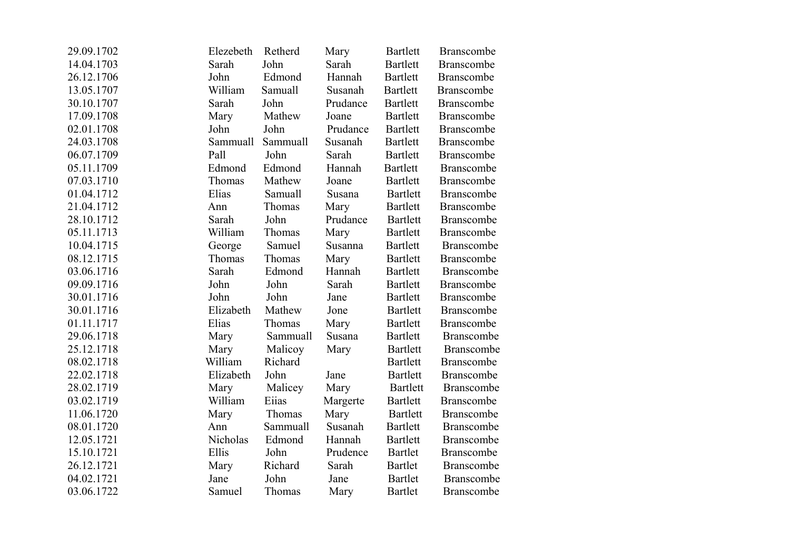| 29.09.1702 | Elezebeth | Retherd  | Mary     | <b>Bartlett</b> | <b>Branscombe</b> |
|------------|-----------|----------|----------|-----------------|-------------------|
| 14.04.1703 | Sarah     | John     | Sarah    | <b>Bartlett</b> | <b>Branscombe</b> |
| 26.12.1706 | John      | Edmond   | Hannah   | <b>Bartlett</b> | <b>Branscombe</b> |
| 13.05.1707 | William   | Samuall  | Susanah  | Bartlett        | <b>Branscombe</b> |
| 30.10.1707 | Sarah     | John     | Prudance | <b>Bartlett</b> | Branscombe        |
| 17.09.1708 | Mary      | Mathew   | Joane    | Bartlett        | Branscombe        |
| 02.01.1708 | John      | John     | Prudance | <b>Bartlett</b> | <b>Branscombe</b> |
| 24.03.1708 | Sammuall  | Sammuall | Susanah  | <b>Bartlett</b> | <b>Branscombe</b> |
| 06.07.1709 | Pall      | John     | Sarah    | <b>Bartlett</b> | <b>Branscombe</b> |
| 05.11.1709 | Edmond    | Edmond   | Hannah   | <b>Bartlett</b> | <b>Branscombe</b> |
| 07.03.1710 | Thomas    | Mathew   | Joane    | <b>Bartlett</b> | <b>Branscombe</b> |
| 01.04.1712 | Elias     | Samuall  | Susana   | <b>Bartlett</b> | <b>Branscombe</b> |
| 21.04.1712 | Ann       | Thomas   | Mary     | Bartlett        | <b>Branscombe</b> |
| 28.10.1712 | Sarah     | John     | Prudance | <b>Bartlett</b> | <b>Branscombe</b> |
| 05.11.1713 | William   | Thomas   | Mary     | <b>Bartlett</b> | <b>Branscombe</b> |
| 10.04.1715 | George    | Samuel   | Susanna  | <b>Bartlett</b> | Branscombe        |
| 08.12.1715 | Thomas    | Thomas   | Mary     | <b>Bartlett</b> | <b>Branscombe</b> |
| 03.06.1716 | Sarah     | Edmond   | Hannah   | <b>Bartlett</b> | Branscombe        |
| 09.09.1716 | John      | John     | Sarah    | <b>Bartlett</b> | Branscombe        |
| 30.01.1716 | John      | John     | Jane     | <b>Bartlett</b> | Branscombe        |
| 30.01.1716 | Elizabeth | Mathew   | Jone     | <b>Bartlett</b> | Branscombe        |
| 01.11.1717 | Elias     | Thomas   | Mary     | <b>Bartlett</b> | <b>Branscombe</b> |
| 29.06.1718 | Mary      | Sammuall | Susana   | <b>Bartlett</b> | Branscombe        |
| 25.12.1718 | Mary      | Malicoy  | Mary     | <b>Bartlett</b> | <b>Branscombe</b> |
| 08.02.1718 | William   | Richard  |          | <b>Bartlett</b> | <b>Branscombe</b> |
| 22.02.1718 | Elizabeth | John     | Jane     | <b>Bartlett</b> | <b>Branscombe</b> |
| 28.02.1719 | Mary      | Malicey  | Mary     | <b>Bartlett</b> | Branscombe        |
| 03.02.1719 | William   | Eiias    | Margerte | <b>Bartlett</b> | <b>Branscombe</b> |
| 11.06.1720 | Mary      | Thomas   | Mary     | <b>Bartlett</b> | <b>Branscombe</b> |
| 08.01.1720 | Ann       | Sammuall | Susanah  | <b>Bartlett</b> | Branscombe        |
| 12.05.1721 | Nicholas  | Edmond   | Hannah   | <b>Bartlett</b> | Branscombe        |
| 15.10.1721 | Ellis     | John     | Prudence | <b>Bartlet</b>  | Branscombe        |
| 26.12.1721 | Mary      | Richard  | Sarah    | Bartlet         | Branscombe        |
| 04.02.1721 | Jane      | John     | Jane     | <b>Bartlet</b>  | <b>Branscombe</b> |
| 03.06.1722 | Samuel    | Thomas   | Mary     | <b>Bartlet</b>  | <b>Branscombe</b> |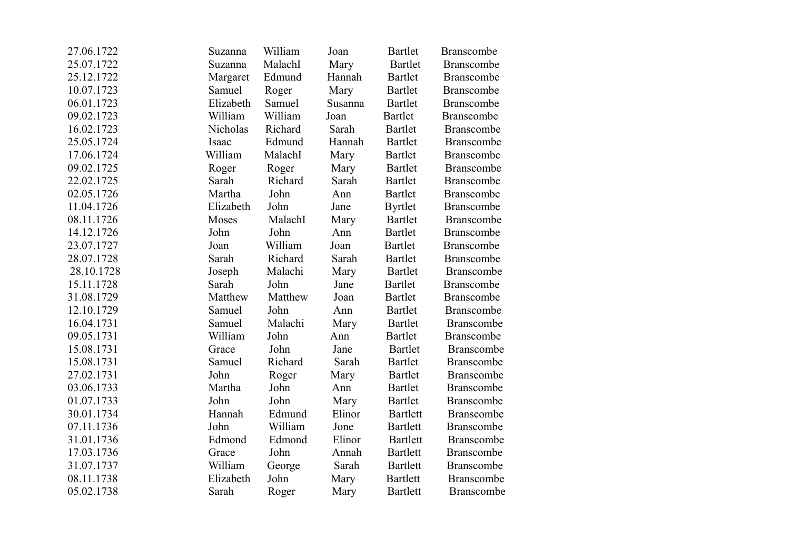| 27.06.1722 | Suzanna   | William | Joan    | <b>Bartlet</b>  | <b>Branscombe</b> |
|------------|-----------|---------|---------|-----------------|-------------------|
| 25.07.1722 | Suzanna   | MalachI | Mary    | <b>Bartlet</b>  | <b>Branscombe</b> |
| 25.12.1722 | Margaret  | Edmund  | Hannah  | <b>Bartlet</b>  | <b>Branscombe</b> |
| 10.07.1723 | Samuel    | Roger   | Mary    | <b>Bartlet</b>  | Branscombe        |
| 06.01.1723 | Elizabeth | Samuel  | Susanna | <b>Bartlet</b>  | <b>Branscombe</b> |
| 09.02.1723 | William   | William | Joan    | <b>Bartlet</b>  | <b>Branscombe</b> |
| 16.02.1723 | Nicholas  | Richard | Sarah   | Bartlet         | <b>Branscombe</b> |
| 25.05.1724 | Isaac     | Edmund  | Hannah  | <b>Bartlet</b>  | <b>Branscombe</b> |
| 17.06.1724 | William   | MalachI | Mary    | <b>Bartlet</b>  | <b>Branscombe</b> |
| 09.02.1725 | Roger     | Roger   | Mary    | <b>Bartlet</b>  | <b>Branscombe</b> |
| 22.02.1725 | Sarah     | Richard | Sarah   | <b>Bartlet</b>  | <b>Branscombe</b> |
| 02.05.1726 | Martha    | John    | Ann     | <b>Bartlet</b>  | <b>Branscombe</b> |
| 11.04.1726 | Elizabeth | John    | Jane    | <b>Byrtlet</b>  | <b>Branscombe</b> |
| 08.11.1726 | Moses     | MalachI | Mary    | <b>Bartlet</b>  | Branscombe        |
| 14.12.1726 | John      | John    | Ann     | <b>Bartlet</b>  | <b>Branscombe</b> |
| 23.07.1727 | Joan      | William | Joan    | <b>Bartlet</b>  | <b>Branscombe</b> |
| 28.07.1728 | Sarah     | Richard | Sarah   | <b>Bartlet</b>  | <b>Branscombe</b> |
| 28.10.1728 | Joseph    | Malachi | Mary    | <b>Bartlet</b>  | <b>Branscombe</b> |
| 15.11.1728 | Sarah     | John    | Jane    | <b>Bartlet</b>  | <b>Branscombe</b> |
| 31.08.1729 | Matthew   | Matthew | Joan    | <b>Bartlet</b>  | <b>Branscombe</b> |
| 12.10.1729 | Samuel    | John    | Ann     | <b>Bartlet</b>  | Branscombe        |
| 16.04.1731 | Samuel    | Malachi | Mary    | <b>Bartlet</b>  | Branscombe        |
| 09.05.1731 | William   | John    | Ann     | <b>Bartlet</b>  | Branscombe        |
| 15.08.1731 | Grace     | John    | Jane    | <b>Bartlet</b>  | Branscombe        |
| 15.08.1731 | Samuel    | Richard | Sarah   | <b>Bartlet</b>  | <b>Branscombe</b> |
| 27.02.1731 | John      | Roger   | Mary    | <b>Bartlet</b>  | Branscombe        |
| 03.06.1733 | Martha    | John    | Ann     | <b>Bartlet</b>  | <b>Branscombe</b> |
| 01.07.1733 | John      | John    | Mary    | <b>Bartlet</b>  | <b>Branscombe</b> |
| 30.01.1734 | Hannah    | Edmund  | Elinor  | <b>Bartlett</b> | <b>Branscombe</b> |
| 07.11.1736 | John      | William | Jone    | <b>Bartlett</b> | <b>Branscombe</b> |
| 31.01.1736 | Edmond    | Edmond  | Elinor  | <b>Bartlett</b> | <b>Branscombe</b> |
| 17.03.1736 | Grace     | John    | Annah   | <b>Bartlett</b> | Branscombe        |
| 31.07.1737 | William   | George  | Sarah   | <b>Bartlett</b> | Branscombe        |
| 08.11.1738 | Elizabeth | John    | Mary    | <b>Bartlett</b> | <b>Branscombe</b> |
| 05.02.1738 | Sarah     | Roger   | Mary    | <b>Bartlett</b> | <b>Branscombe</b> |
|            |           |         |         |                 |                   |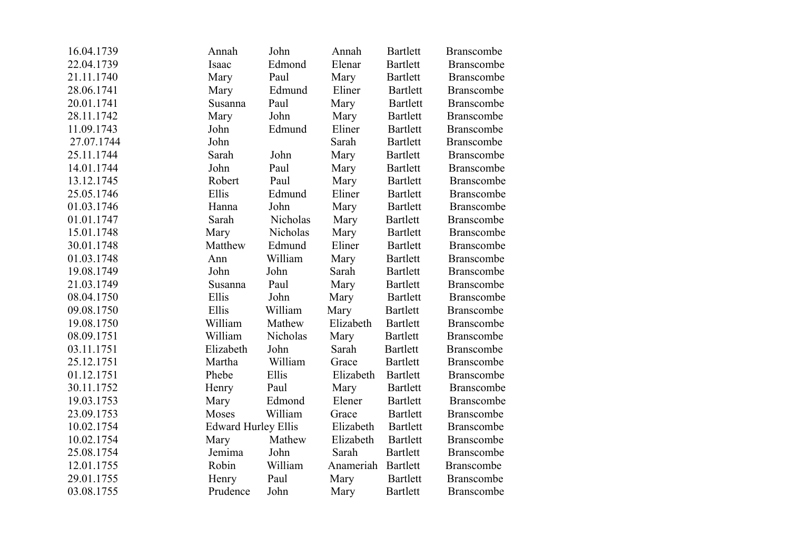| 16.04.1739 | Annah                      | John     | Annah     | <b>Bartlett</b> | <b>Branscombe</b> |
|------------|----------------------------|----------|-----------|-----------------|-------------------|
| 22.04.1739 | Isaac                      | Edmond   | Elenar    | <b>Bartlett</b> | Branscombe        |
| 21.11.1740 | Mary                       | Paul     | Mary      | <b>Bartlett</b> | <b>Branscombe</b> |
| 28.06.1741 | Mary                       | Edmund   | Eliner    | <b>Bartlett</b> | Branscombe        |
| 20.01.1741 | Susanna                    | Paul     | Mary      | <b>Bartlett</b> | <b>Branscombe</b> |
| 28.11.1742 | Mary                       | John     | Mary      | <b>Bartlett</b> | <b>Branscombe</b> |
| 11.09.1743 | John                       | Edmund   | Eliner    | <b>Bartlett</b> | <b>Branscombe</b> |
| 27.07.1744 | John                       |          | Sarah     | <b>Bartlett</b> | <b>Branscombe</b> |
| 25.11.1744 | Sarah                      | John     | Mary      | <b>Bartlett</b> | <b>Branscombe</b> |
| 14.01.1744 | John                       | Paul     | Mary      | <b>Bartlett</b> | <b>Branscombe</b> |
| 13.12.1745 | Robert                     | Paul     | Mary      | <b>Bartlett</b> | Branscombe        |
| 25.05.1746 | Ellis                      | Edmund   | Eliner    | <b>Bartlett</b> | Branscombe        |
| 01.03.1746 | Hanna                      | John     | Mary      | <b>Bartlett</b> | <b>Branscombe</b> |
| 01.01.1747 | Sarah                      | Nicholas | Mary      | <b>Bartlett</b> | Branscombe        |
| 15.01.1748 | Mary                       | Nicholas | Mary      | <b>Bartlett</b> | Branscombe        |
| 30.01.1748 | Matthew                    | Edmund   | Eliner    | <b>Bartlett</b> | <b>Branscombe</b> |
| 01.03.1748 | Ann                        | William  | Mary      | <b>Bartlett</b> | Branscombe        |
| 19.08.1749 | John                       | John     | Sarah     | <b>Bartlett</b> | <b>Branscombe</b> |
| 21.03.1749 | Susanna                    | Paul     | Mary      | <b>Bartlett</b> | Branscombe        |
| 08.04.1750 | Ellis                      | John     | Mary      | <b>Bartlett</b> | Branscombe        |
| 09.08.1750 | Ellis                      | William  | Mary      | <b>Bartlett</b> | <b>Branscombe</b> |
| 19.08.1750 | William                    | Mathew   | Elizabeth | <b>Bartlett</b> | <b>Branscombe</b> |
| 08.09.1751 | William                    | Nicholas | Mary      | <b>Bartlett</b> | <b>Branscombe</b> |
| 03.11.1751 | Elizabeth                  | John     | Sarah     | <b>Bartlett</b> | <b>Branscombe</b> |
| 25.12.1751 | Martha                     | William  | Grace     | <b>Bartlett</b> | <b>Branscombe</b> |
| 01.12.1751 | Phebe                      | Ellis    | Elizabeth | <b>Bartlett</b> | <b>Branscombe</b> |
| 30.11.1752 | Henry                      | Paul     | Mary      | <b>Bartlett</b> | Branscombe        |
| 19.03.1753 | Mary                       | Edmond   | Elener    | <b>Bartlett</b> | Branscombe        |
| 23.09.1753 | Moses                      | William  | Grace     | Bartlett        | <b>Branscombe</b> |
| 10.02.1754 | <b>Edward Hurley Ellis</b> |          | Elizabeth | <b>Bartlett</b> | <b>Branscombe</b> |
| 10.02.1754 | Mary                       | Mathew   | Elizabeth | <b>Bartlett</b> | Branscombe        |
| 25.08.1754 | Jemima                     | John     | Sarah     | <b>Bartlett</b> | Branscombe        |
| 12.01.1755 | Robin                      | William  | Anameriah | <b>Bartlett</b> | <b>Branscombe</b> |
| 29.01.1755 | Henry                      | Paul     | Mary      | <b>Bartlett</b> | <b>Branscombe</b> |
| 03.08.1755 | Prudence                   | John     | Mary      | <b>Bartlett</b> | <b>Branscombe</b> |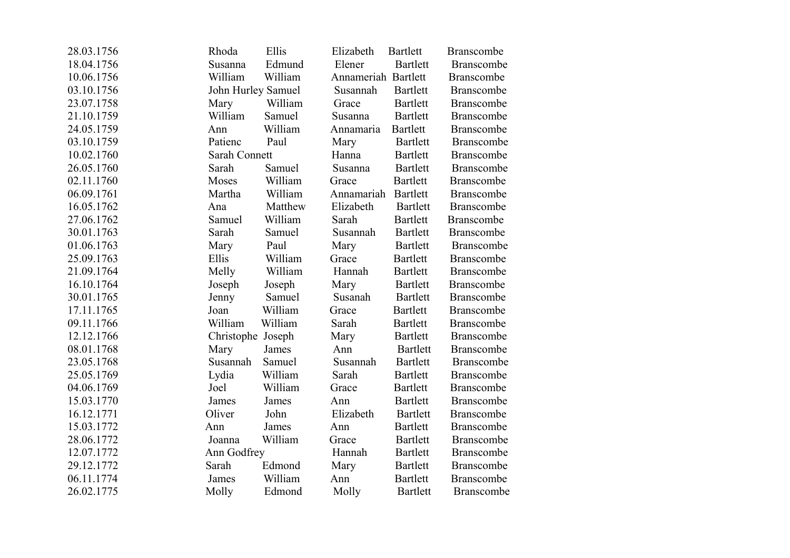| 28.03.1756 | Rhoda              | Ellis   | Elizabeth           | <b>Bartlett</b> | <b>Branscombe</b> |
|------------|--------------------|---------|---------------------|-----------------|-------------------|
| 18.04.1756 | Susanna            | Edmund  | Elener              | <b>Bartlett</b> | <b>Branscombe</b> |
| 10.06.1756 | William            | William | Annameriah Bartlett |                 | <b>Branscombe</b> |
| 03.10.1756 | John Hurley Samuel |         | Susannah            | <b>Bartlett</b> | <b>Branscombe</b> |
| 23.07.1758 | Mary               | William | Grace               | <b>Bartlett</b> | Branscombe        |
| 21.10.1759 | William            | Samuel  | Susanna             | Bartlett        | <b>Branscombe</b> |
| 24.05.1759 | Ann                | William | Annamaria           | <b>Bartlett</b> | Branscombe        |
| 03.10.1759 | Patienc            | Paul    | Mary                | <b>Bartlett</b> | <b>Branscombe</b> |
| 10.02.1760 | Sarah Connett      |         | Hanna               | Bartlett        | <b>Branscombe</b> |
| 26.05.1760 | Sarah              | Samuel  | Susanna             | <b>Bartlett</b> | <b>Branscombe</b> |
| 02.11.1760 | Moses              | William | Grace               | <b>Bartlett</b> | Branscombe        |
| 06.09.1761 | Martha             | William | Annamariah          | <b>Bartlett</b> | Branscombe        |
| 16.05.1762 | Ana                | Matthew | Elizabeth           | <b>Bartlett</b> | <b>Branscombe</b> |
| 27.06.1762 | Samuel             | William | Sarah               | Bartlett        | <b>Branscombe</b> |
| 30.01.1763 | Sarah              | Samuel  | Susannah            | <b>Bartlett</b> | <b>Branscombe</b> |
| 01.06.1763 | Mary               | Paul    | Mary                | <b>Bartlett</b> | <b>Branscombe</b> |
| 25.09.1763 | Ellis              | William | Grace               | <b>Bartlett</b> | <b>Branscombe</b> |
| 21.09.1764 | Melly              | William | Hannah              | <b>Bartlett</b> | Branscombe        |
| 16.10.1764 | Joseph             | Joseph  | Mary                | <b>Bartlett</b> | <b>Branscombe</b> |
| 30.01.1765 | Jenny              | Samuel  | Susanah             | <b>Bartlett</b> | Branscombe        |
| 17.11.1765 | Joan               | William | Grace               | <b>Bartlett</b> | Branscombe        |
| 09.11.1766 | William            | William | Sarah               | <b>Bartlett</b> | <b>Branscombe</b> |
| 12.12.1766 | Christophe         | Joseph  | Mary                | <b>Bartlett</b> | <b>Branscombe</b> |
| 08.01.1768 | Mary               | James   | Ann                 | <b>Bartlett</b> | <b>Branscombe</b> |
| 23.05.1768 | Susannah           | Samuel  | Susannah            | <b>Bartlett</b> | <b>Branscombe</b> |
| 25.05.1769 | Lydia              | William | Sarah               | <b>Bartlett</b> | <b>Branscombe</b> |
| 04.06.1769 | Joel               | William | Grace               | <b>Bartlett</b> | Branscombe        |
| 15.03.1770 | James              | James   | Ann                 | <b>Bartlett</b> | <b>Branscombe</b> |
| 16.12.1771 | Oliver             | John    | Elizabeth           | <b>Bartlett</b> | <b>Branscombe</b> |
| 15.03.1772 | Ann                | James   | Ann                 | <b>Bartlett</b> | <b>Branscombe</b> |
| 28.06.1772 | Joanna             | William | Grace               | <b>Bartlett</b> | <b>Branscombe</b> |
| 12.07.1772 | Ann Godfrey        |         | Hannah              | <b>Bartlett</b> | <b>Branscombe</b> |
| 29.12.1772 | Sarah              | Edmond  | Mary                | <b>Bartlett</b> | Branscombe        |
| 06.11.1774 | James              | William | Ann                 | <b>Bartlett</b> | <b>Branscombe</b> |
| 26.02.1775 | Molly              | Edmond  | Molly               | <b>Bartlett</b> | <b>Branscombe</b> |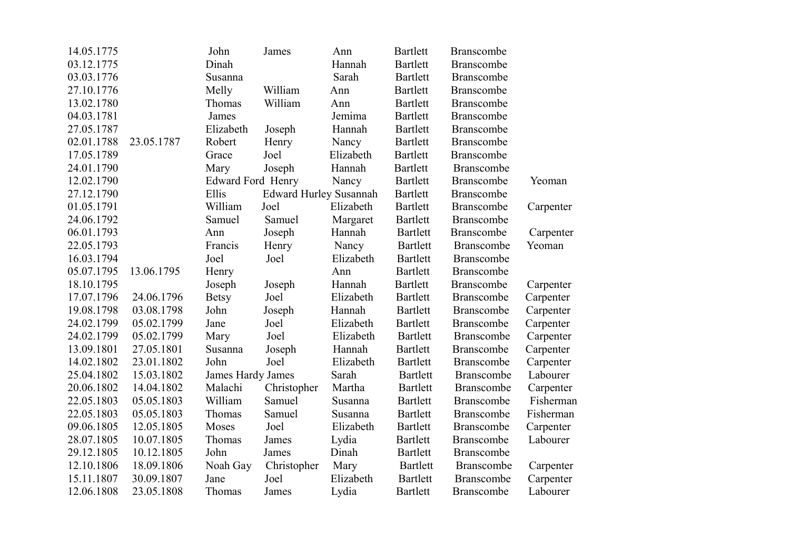| 14.05.1775 |            | John                     | James                         | Ann       | <b>Bartlett</b> | <b>Branscombe</b> |           |
|------------|------------|--------------------------|-------------------------------|-----------|-----------------|-------------------|-----------|
| 03.12.1775 |            | Dinah                    |                               | Hannah    | <b>Bartlett</b> | Branscombe        |           |
| 03.03.1776 |            | Susanna                  |                               | Sarah     | <b>Bartlett</b> | <b>Branscombe</b> |           |
| 27.10.1776 |            | Melly                    | William                       | Ann       | <b>Bartlett</b> | <b>Branscombe</b> |           |
| 13.02.1780 |            | Thomas                   | William                       | Ann       | <b>Bartlett</b> | Branscombe        |           |
| 04.03.1781 |            | James                    |                               | Jemima    | <b>Bartlett</b> | Branscombe        |           |
| 27.05.1787 |            | Elizabeth                | Joseph                        | Hannah    | <b>Bartlett</b> | <b>Branscombe</b> |           |
| 02.01.1788 | 23.05.1787 | Robert                   | Henry                         | Nancy     | <b>Bartlett</b> | <b>Branscombe</b> |           |
| 17.05.1789 |            | Grace                    | Joel                          | Elizabeth | <b>Bartlett</b> | <b>Branscombe</b> |           |
| 24.01.1790 |            | Mary                     | Joseph                        | Hannah    | <b>Bartlett</b> | <b>Branscombe</b> |           |
| 12.02.1790 |            | <b>Edward Ford Henry</b> |                               | Nancy     | <b>Bartlett</b> | <b>Branscombe</b> | Yeoman    |
| 27.12.1790 |            | Ellis                    | <b>Edward Hurley Susannah</b> |           | <b>Bartlett</b> | Branscombe        |           |
| 01.05.1791 |            | William                  | Joel                          | Elizabeth | <b>Bartlett</b> | Branscombe        | Carpenter |
| 24.06.1792 |            | Samuel                   | Samuel                        | Margaret  | <b>Bartlett</b> | Branscombe        |           |
| 06.01.1793 |            | Ann                      | Joseph                        | Hannah    | <b>Bartlett</b> | <b>Branscombe</b> | Carpenter |
| 22.05.1793 |            | Francis                  | Henry                         | Nancy     | <b>Bartlett</b> | Branscombe        | Yeoman    |
| 16.03.1794 |            | Joel                     | Joel                          | Elizabeth | <b>Bartlett</b> | <b>Branscombe</b> |           |
| 05.07.1795 | 13.06.1795 | Henry                    |                               | Ann       | <b>Bartlett</b> | <b>Branscombe</b> |           |
| 18.10.1795 |            | Joseph                   | Joseph                        | Hannah    | <b>Bartlett</b> | <b>Branscombe</b> | Carpenter |
| 17.07.1796 | 24.06.1796 | <b>Betsy</b>             | Joel                          | Elizabeth | <b>Bartlett</b> | <b>Branscombe</b> | Carpenter |
| 19.08.1798 | 03.08.1798 | John                     | Joseph                        | Hannah    | <b>Bartlett</b> | Branscombe        | Carpenter |
| 24.02.1799 | 05.02.1799 | Jane                     | Joel                          | Elizabeth | <b>Bartlett</b> | <b>Branscombe</b> | Carpenter |
| 24.02.1799 | 05.02.1799 | Mary                     | Joel                          | Elizabeth | <b>Bartlett</b> | Branscombe        | Carpenter |
| 13.09.1801 | 27.05.1801 | Susanna                  | Joseph                        | Hannah    | <b>Bartlett</b> | <b>Branscombe</b> | Carpenter |
| 14.02.1802 | 23.01.1802 | John                     | Joel                          | Elizabeth | <b>Bartlett</b> | <b>Branscombe</b> | Carpenter |
| 25.04.1802 | 15.03.1802 | <b>James Hardy James</b> |                               | Sarah     | <b>Bartlett</b> | <b>Branscombe</b> | Labourer  |
| 20.06.1802 | 14.04.1802 | Malachi                  | Christopher                   | Martha    | <b>Bartlett</b> | <b>Branscombe</b> | Carpenter |
| 22.05.1803 | 05.05.1803 | William                  | Samuel                        | Susanna   | <b>Bartlett</b> | <b>Branscombe</b> | Fisherman |
| 22.05.1803 | 05.05.1803 | Thomas                   | Samuel                        | Susanna   | <b>Bartlett</b> | Branscombe        | Fisherman |
| 09.06.1805 | 12.05.1805 | Moses                    | Joel                          | Elizabeth | <b>Bartlett</b> | <b>Branscombe</b> | Carpenter |
| 28.07.1805 | 10.07.1805 | Thomas                   | James                         | Lydia     | <b>Bartlett</b> | <b>Branscombe</b> | Labourer  |
| 29.12.1805 | 10.12.1805 | John                     | James                         | Dinah     | <b>Bartlett</b> | Branscombe        |           |
| 12.10.1806 | 18.09.1806 | Noah Gay                 | Christopher                   | Mary      | <b>Bartlett</b> | Branscombe        | Carpenter |
| 15.11.1807 | 30.09.1807 | Jane                     | Joel                          | Elizabeth | <b>Bartlett</b> | <b>Branscombe</b> | Carpenter |
| 12.06.1808 | 23.05.1808 | Thomas                   | James                         | Lydia     | <b>Bartlett</b> | <b>Branscombe</b> | Labourer  |
|            |            |                          |                               |           |                 |                   |           |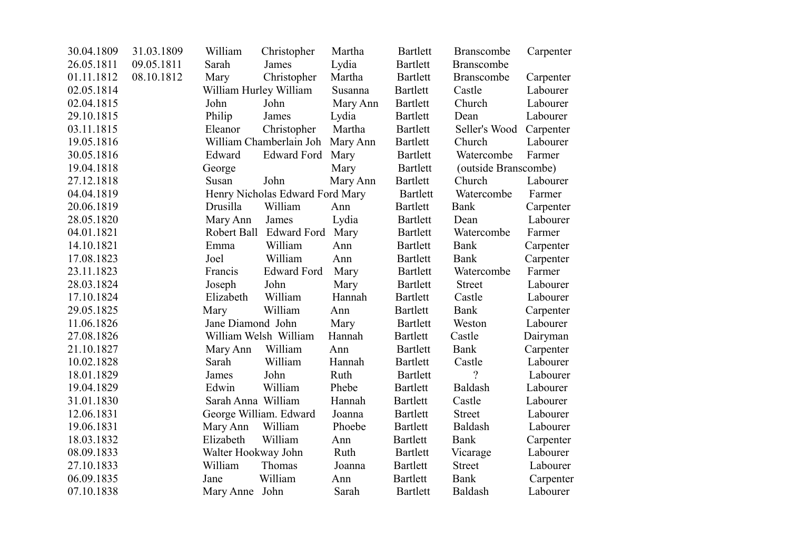| 30.04.1809 | 31.03.1809 | William                | Christopher                      | Martha   | <b>Bartlett</b> | <b>Branscombe</b>       | Carpenter |
|------------|------------|------------------------|----------------------------------|----------|-----------------|-------------------------|-----------|
| 26.05.1811 | 09.05.1811 | Sarah                  | James                            | Lydia    | <b>Bartlett</b> | <b>Branscombe</b>       |           |
| 01.11.1812 | 08.10.1812 | Mary                   | Christopher                      | Martha   | Bartlett        | <b>Branscombe</b>       | Carpenter |
| 02.05.1814 |            | William Hurley William |                                  | Susanna  | <b>Bartlett</b> | Castle                  | Labourer  |
| 02.04.1815 |            | John                   | John                             | Mary Ann | <b>Bartlett</b> | Church                  | Labourer  |
| 29.10.1815 |            | Philip                 | James                            | Lydia    | <b>Bartlett</b> | Dean                    | Labourer  |
| 03.11.1815 |            | Eleanor                | Christopher                      | Martha   | <b>Bartlett</b> | Seller's Wood Carpenter |           |
| 19.05.1816 |            |                        | William Chamberlain Joh Mary Ann |          | <b>Bartlett</b> | Church                  | Labourer  |
| 30.05.1816 |            | Edward                 | Edward Ford Mary                 |          | Bartlett        | Watercombe              | Farmer    |
| 19.04.1818 |            | George                 |                                  | Mary     | <b>Bartlett</b> | (outside Branscombe)    |           |
| 27.12.1818 |            | Susan                  | John                             | Mary Ann | <b>Bartlett</b> | Church                  | Labourer  |
| 04.04.1819 |            |                        | Henry Nicholas Edward Ford Mary  |          | Bartlett        | Watercombe              | Farmer    |
| 20.06.1819 |            | Drusilla               | William                          | Ann      | <b>Bartlett</b> | Bank                    | Carpenter |
| 28.05.1820 |            | Mary Ann               | James                            | Lydia    | <b>Bartlett</b> | Dean                    | Labourer  |
| 04.01.1821 |            | Robert Ball            | <b>Edward Ford</b>               | Mary     | <b>Bartlett</b> | Watercombe              | Farmer    |
| 14.10.1821 |            | Emma                   | William                          | Ann      | Bartlett        | Bank                    | Carpenter |
| 17.08.1823 |            | Joel                   | William                          | Ann      | <b>Bartlett</b> | <b>Bank</b>             | Carpenter |
| 23.11.1823 |            | Francis                | <b>Edward Ford</b>               | Mary     | <b>Bartlett</b> | Watercombe              | Farmer    |
| 28.03.1824 |            | Joseph                 | John                             | Mary     | <b>Bartlett</b> | <b>Street</b>           | Labourer  |
| 17.10.1824 |            | Elizabeth              | William                          | Hannah   | <b>Bartlett</b> | Castle                  | Labourer  |
| 29.05.1825 |            | Mary                   | William                          | Ann      | <b>Bartlett</b> | Bank                    | Carpenter |
| 11.06.1826 |            | Jane Diamond John      |                                  | Mary     | <b>Bartlett</b> | Weston                  | Labourer  |
| 27.08.1826 |            |                        | William Welsh William            | Hannah   | <b>Bartlett</b> | Castle                  | Dairyman  |
| 21.10.1827 |            | Mary Ann               | William                          | Ann      | <b>Bartlett</b> | Bank                    | Carpenter |
| 10.02.1828 |            | Sarah                  | William                          | Hannah   | <b>Bartlett</b> | Castle                  | Labourer  |
| 18.01.1829 |            | James                  | John                             | Ruth     | <b>Bartlett</b> | $\gamma$                | Labourer  |
| 19.04.1829 |            | Edwin                  | William                          | Phebe    | <b>Bartlett</b> | Baldash                 | Labourer  |
| 31.01.1830 |            | Sarah Anna William     |                                  | Hannah   | <b>Bartlett</b> | Castle                  | Labourer  |
| 12.06.1831 |            |                        | George William. Edward           | Joanna   | <b>Bartlett</b> | <b>Street</b>           | Labourer  |
| 19.06.1831 |            | Mary Ann               | William                          | Phoebe   | <b>Bartlett</b> | Baldash                 | Labourer  |
| 18.03.1832 |            | Elizabeth              | William                          | Ann      | Bartlett        | Bank                    | Carpenter |
| 08.09.1833 |            | Walter Hookway John    |                                  | Ruth     | <b>Bartlett</b> | Vicarage                | Labourer  |
| 27.10.1833 |            | William                | Thomas                           | Joanna   | Bartlett        | <b>Street</b>           | Labourer  |
| 06.09.1835 |            | Jane                   | William                          | Ann      | <b>Bartlett</b> | <b>Bank</b>             | Carpenter |
| 07.10.1838 |            | Mary Anne John         |                                  | Sarah    | <b>Bartlett</b> | Baldash                 | Labourer  |
|            |            |                        |                                  |          |                 |                         |           |